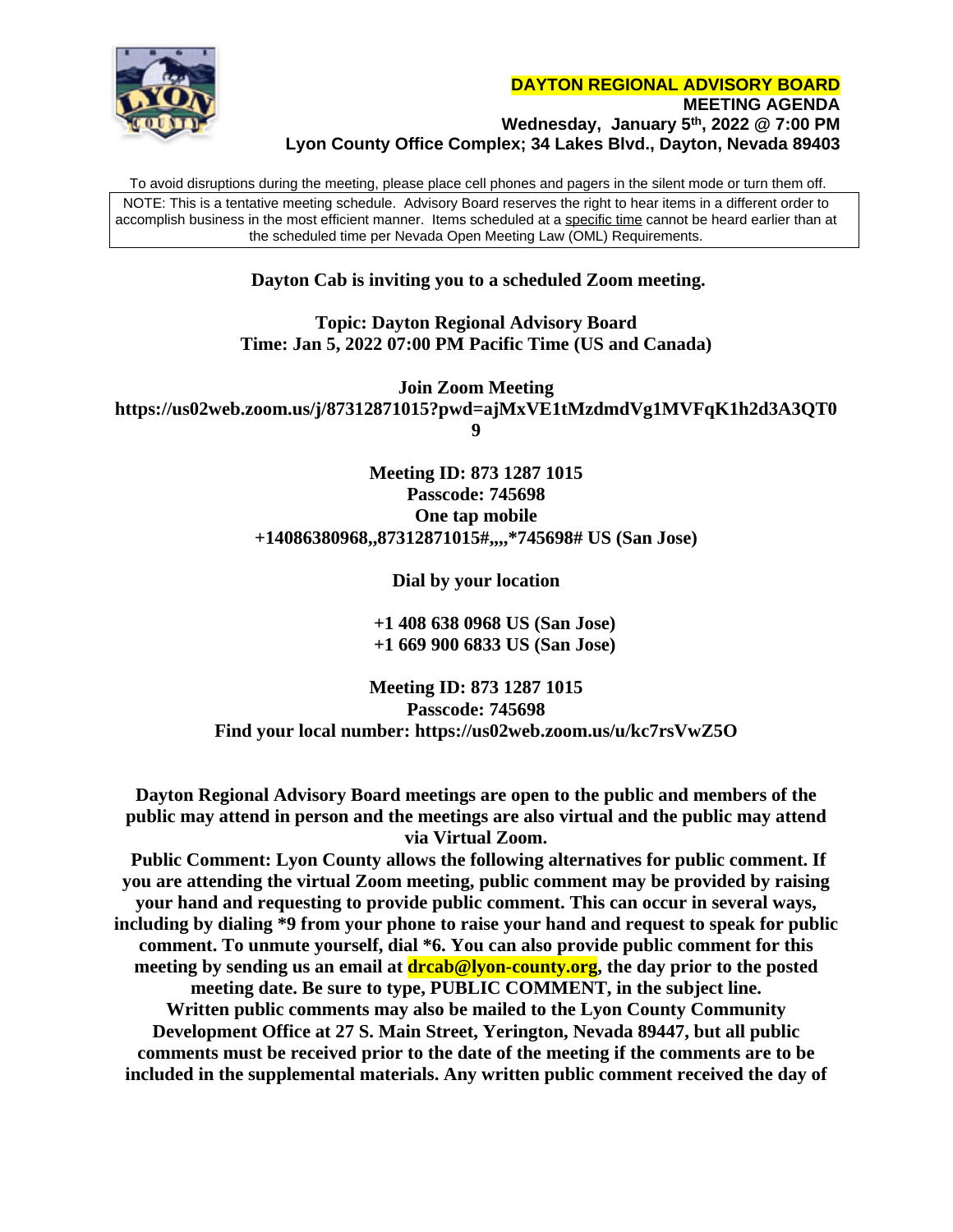

To avoid disruptions during the meeting, please place cell phones and pagers in the silent mode or turn them off. NOTE: This is a tentative meeting schedule. Advisory Board reserves the right to hear items in a different order to accomplish business in the most efficient manner. Items scheduled at a specific time cannot be heard earlier than at the scheduled time per Nevada Open Meeting Law (OML) Requirements.

## **Dayton Cab is inviting you to a scheduled Zoom meeting.**

**Topic: Dayton Regional Advisory Board Time: Jan 5, 2022 07:00 PM Pacific Time (US and Canada)**

**Join Zoom Meeting https://us02web.zoom.us/j/87312871015?pwd=ajMxVE1tMzdmdVg1MVFqK1h2d3A3QT0 9**

> **Meeting ID: 873 1287 1015 Passcode: 745698 One tap mobile +14086380968,,87312871015#,,,,\*745698# US (San Jose)**

> > **Dial by your location**

 **+1 408 638 0968 US (San Jose) +1 669 900 6833 US (San Jose)**

**Meeting ID: 873 1287 1015 Passcode: 745698 Find your local number: https://us02web.zoom.us/u/kc7rsVwZ5O**

**Dayton Regional Advisory Board meetings are open to the public and members of the public may attend in person and the meetings are also virtual and the public may attend via Virtual Zoom.**

 **Public Comment: Lyon County allows the following alternatives for public comment. If you are attending the virtual Zoom meeting, public comment may be provided by raising your hand and requesting to provide public comment. This can occur in several ways, including by dialing \*9 from your phone to raise your hand and request to speak for public comment. To unmute yourself, dial \*6. You can also provide public comment for this meeting by sending us an email at drcab@lyon-county.org, the day prior to the posted meeting date. Be sure to type, PUBLIC COMMENT, in the subject line. Written public comments may also be mailed to the Lyon County Community Development Office at 27 S. Main Street, Yerington, Nevada 89447, but all public comments must be received prior to the date of the meeting if the comments are to be included in the supplemental materials. Any written public comment received the day of**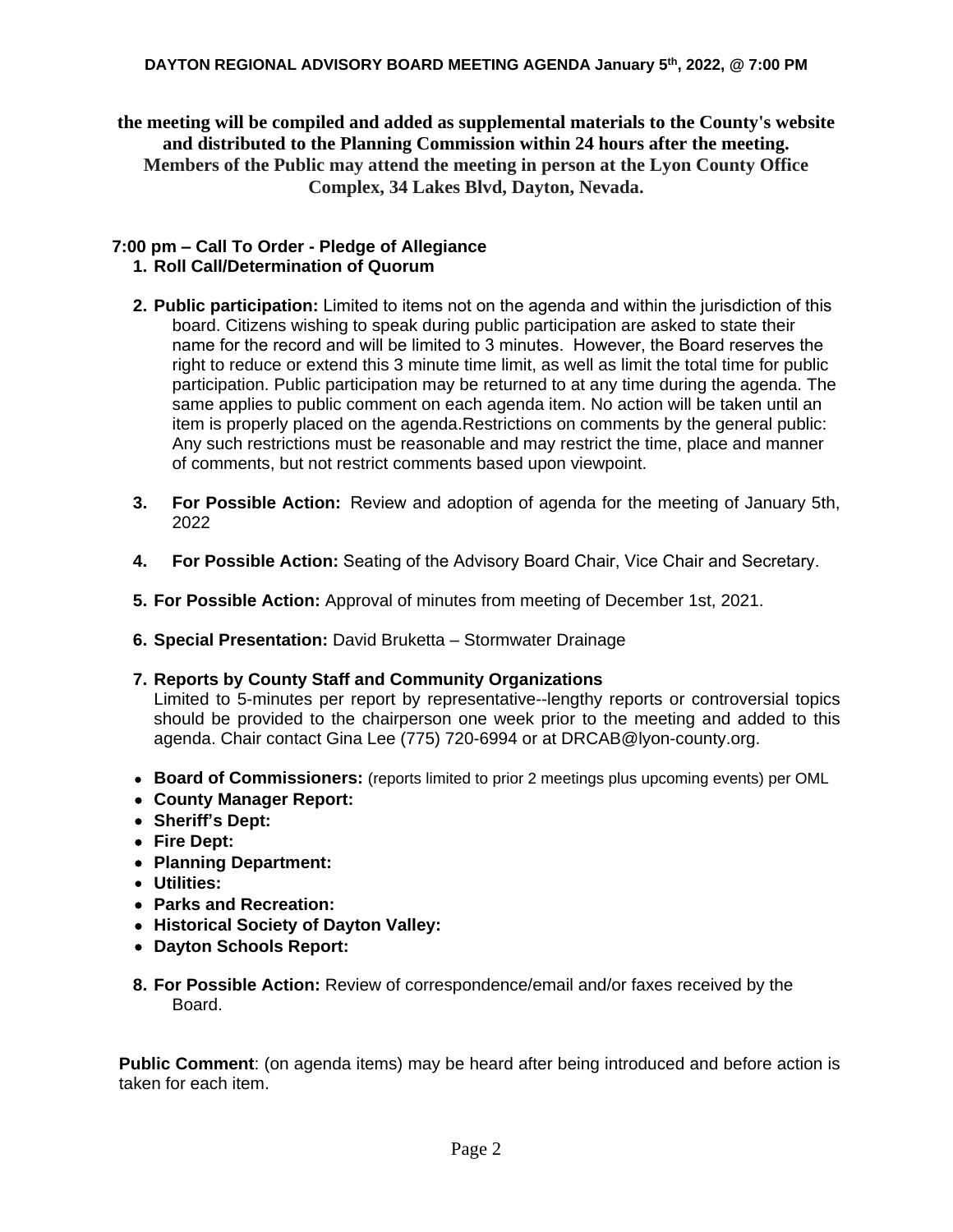**the meeting will be compiled and added as supplemental materials to the County's website and distributed to the Planning Commission within 24 hours after the meeting. Members of the Public may attend the meeting in person at the Lyon County Office Complex, 34 Lakes Blvd, Dayton, Nevada.**

## **7:00 pm – Call To Order - Pledge of Allegiance 1. Roll Call/Determination of Quorum**

- **2. Public participation:** Limited to items not on the agenda and within the jurisdiction of this board. Citizens wishing to speak during public participation are asked to state their name for the record and will be limited to 3 minutes. However, the Board reserves the right to reduce or extend this 3 minute time limit, as well as limit the total time for public participation. Public participation may be returned to at any time during the agenda. The same applies to public comment on each agenda item. No action will be taken until an item is properly placed on the agenda.Restrictions on comments by the general public: Any such restrictions must be reasonable and may restrict the time, place and manner of comments, but not restrict comments based upon viewpoint.
- **3. For Possible Action:** Review and adoption of agenda for the meeting of January 5th, 2022
- **4. For Possible Action:** Seating of the Advisory Board Chair, Vice Chair and Secretary.
- **5. For Possible Action:** Approval of minutes from meeting of December 1st, 2021.
- **6. Special Presentation:** David Bruketta Stormwater Drainage

## **7. Reports by County Staff and Community Organizations**

Limited to 5-minutes per report by representative--lengthy reports or controversial topics should be provided to the chairperson one week prior to the meeting and added to this agenda. Chair contact Gina Lee (775) 720-6994 or at [DRCAB@lyon-county.org.](mailto:DRCAB@lyon-county.org)

- **Board of Commissioners:** (reports limited to prior 2 meetings plus upcoming events) per OML
- **County Manager Report:**
- **Sheriff's Dept:**
- **Fire Dept:**
- **Planning Department:**
- **Utilities:**
- **Parks and Recreation:**
- **Historical Society of Dayton Valley:**
- **Dayton Schools Report:**
- **8. For Possible Action:** Review of correspondence/email and/or faxes received by the Board.

**Public Comment**: (on agenda items) may be heard after being introduced and before action is taken for each item.